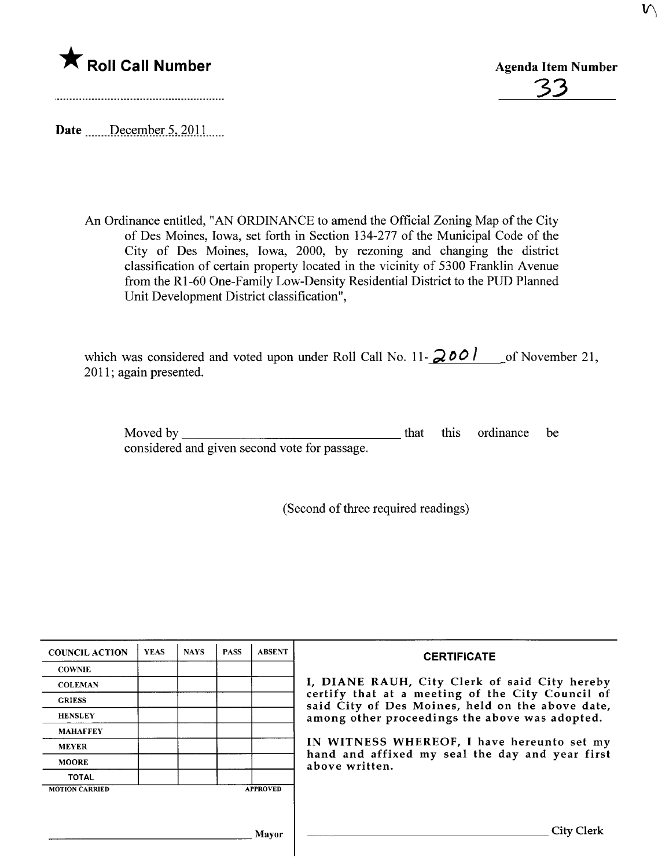

3

Date  $\frac{\text{December 5, 2011}}{\text{December 5, 2011}}$ 

An Ordinance entitled, "AN ORDINANCE to amend the Official Zoning Map of the City of Des Moines, Iowa, set forth in Section 134-277 of the Municipal Code of the City of Des Moines, Iowa, 2000, by rezoning and changing the district classification of certain property located in the vicinity of 5300 Franklin Avenue from the RI-60 One-Family Low-Density Residential District to the PUD Planned Unit Development District classification",

which was considered and voted upon under Roll Call No. 11- $\frac{2001}{1000}$  of November 21, 2011; again presented.

Moved by considered and given second vote for passage.

that this ordinance be

(Second of three required readings)

| <b>COUNCIL ACTION</b> | <b>YEAS</b> | <b>NAYS</b> | <b>PASS</b> | <b>ABSENT</b>   | <b>CERTIFICATE</b>                                                                                                                                                                                      |
|-----------------------|-------------|-------------|-------------|-----------------|---------------------------------------------------------------------------------------------------------------------------------------------------------------------------------------------------------|
| <b>COWNIE</b>         |             |             |             |                 |                                                                                                                                                                                                         |
| <b>COLEMAN</b>        |             |             |             |                 | I, DIANE RAUH, City Clerk of said City hereby<br>certify that at a meeting of the City Council of<br>said City of Des Moines, held on the above date,<br>among other proceedings the above was adopted. |
| <b>GRIESS</b>         |             |             |             |                 |                                                                                                                                                                                                         |
| <b>HENSLEY</b>        |             |             |             |                 |                                                                                                                                                                                                         |
| <b>MAHAFFEY</b>       |             |             |             |                 |                                                                                                                                                                                                         |
| <b>MEYER</b>          |             |             |             |                 | IN WITNESS WHEREOF, I have hereunto set my<br>hand and affixed my seal the day and year first<br>above written.                                                                                         |
| <b>MOORE</b>          |             |             |             |                 |                                                                                                                                                                                                         |
| <b>TOTAL</b>          |             |             |             |                 |                                                                                                                                                                                                         |
| <b>MOTION CARRIED</b> |             |             |             | <b>APPROVED</b> |                                                                                                                                                                                                         |
|                       |             |             |             |                 |                                                                                                                                                                                                         |
|                       |             |             |             |                 |                                                                                                                                                                                                         |
|                       |             |             |             | Mavor           | City Clerk                                                                                                                                                                                              |
|                       |             |             |             |                 |                                                                                                                                                                                                         |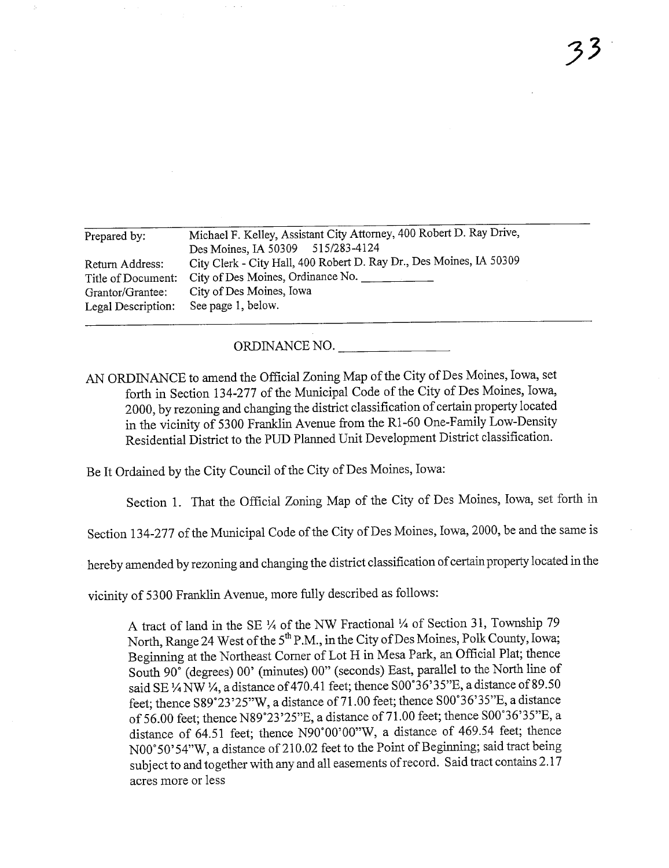| Prepared by:       | Michael F. Kelley, Assistant City Attorney, 400 Robert D. Ray Drive, |  |  |  |  |
|--------------------|----------------------------------------------------------------------|--|--|--|--|
|                    | Des Moines, IA 50309 515/283-4124                                    |  |  |  |  |
| Return Address:    | City Clerk - City Hall, 400 Robert D. Ray Dr., Des Moines, IA 50309  |  |  |  |  |
| Title of Document: | City of Des Moines, Ordinance No.                                    |  |  |  |  |
| Grantor/Grantee:   | City of Des Moines, Iowa                                             |  |  |  |  |
| Legal Description: | See page 1, below.                                                   |  |  |  |  |
|                    |                                                                      |  |  |  |  |

ORDINANCE NO.

AN ORDINANCE to amend the Official Zoning Map of the City of Des Moines, Iowa, set forth in Section 134-277 of the Municipal Code of the City of Des Moines, Iowa, 2000, by rezoning and changing the district classification of certain property located in the vicinity of 5300 Franklin Avenue from the R1-60 One-Family Low-Density Residential District to the PUD Planed Unit Development District classification.

Be It Ordained by the City Council of the City of Des Moines, Iowa:

Section 1. That the Official Zoning Map of the City of Des Moines, Iowa, set forth in

Section 134-277 of the Municipal Code of the City of Des Moines, Iowa, 2000, be and the same is

hereby amended by rezoning and changing the district classification of certain property located in the

vicinity of 5300 Franklin Avenue, more fully described as follows:

A tract of land in the SE  $\frac{1}{4}$  of the NW Fractional  $\frac{1}{4}$  of Section 31, Township 79 North, Range 24 West of the 5<sup>th</sup> P.M., in the City of Des Moines, Polk County, Iowa; Beginning at the Northeast Corner of Lot H in Mesa Park, an Official Plat; thence South 90° (degrees) 00' (minutes) 00" (seconds) East, parallel to the North line of said SE  $\frac{1}{4}$  NW  $\frac{1}{4}$ , a distance of 470.41 feet; thence S00°36'35"E, a distance of 89.50 feet; thence S89°23'25"W, a distance of 71.00 feet; thence S00°36'35"E, a distance of 56.00 feet; thence N89°23 '25"E, a distance of71.00 feet; thence SOO'36'35"E, a distance of 64.51 feet; thence N90'OO'00"W, a distance of 469.54 feet; thence NOO°50'54"W, a distance of 210.02 feet to the Point of Beginning; said tract being subject to and together with any and all easements of record. Said tract contains 2.17 acres more or less